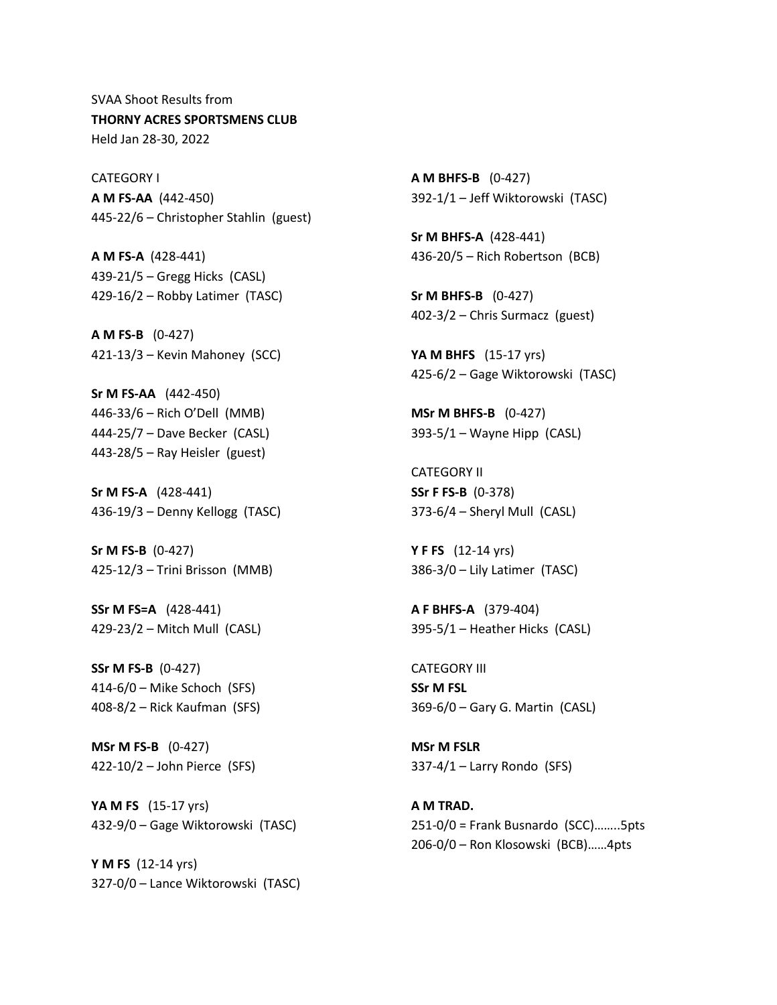SVAA Shoot Results from **THORNY ACRES SPORTSMENS CLUB** Held Jan 28-30, 2022

CATEGORY I **A M FS-AA** (442-450) 445-22/6 – Christopher Stahlin (guest)

**A M FS-A** (428-441) 439-21/5 – Gregg Hicks (CASL) 429-16/2 – Robby Latimer (TASC)

**A M FS-B** (0-427) 421-13/3 – Kevin Mahoney (SCC)

**Sr M FS-AA** (442-450) 446-33/6 – Rich O'Dell (MMB) 444-25/7 – Dave Becker (CASL) 443-28/5 – Ray Heisler (guest)

**Sr M FS-A** (428-441) 436-19/3 – Denny Kellogg (TASC)

**Sr M FS-B** (0-427) 425-12/3 – Trini Brisson (MMB)

**SSr M FS=A** (428-441) 429-23/2 – Mitch Mull (CASL)

**SSr M FS-B** (0-427) 414-6/0 – Mike Schoch (SFS) 408-8/2 – Rick Kaufman (SFS)

**MSr M FS-B** (0-427) 422-10/2 – John Pierce (SFS)

**YA M FS** (15-17 yrs) 432-9/0 – Gage Wiktorowski (TASC)

**Y M FS** (12-14 yrs) 327-0/0 – Lance Wiktorowski (TASC) **A M BHFS-B** (0-427) 392-1/1 – Jeff Wiktorowski (TASC)

**Sr M BHFS-A** (428-441) 436-20/5 – Rich Robertson (BCB)

**Sr M BHFS-B** (0-427) 402-3/2 – Chris Surmacz (guest)

**YA M BHFS** (15-17 yrs) 425-6/2 – Gage Wiktorowski (TASC)

**MSr M BHFS-B** (0-427) 393-5/1 – Wayne Hipp (CASL)

CATEGORY II **SSr F FS-B** (0-378) 373-6/4 – Sheryl Mull (CASL)

**Y F FS** (12-14 yrs) 386-3/0 – Lily Latimer (TASC)

**A F BHFS-A** (379-404) 395-5/1 – Heather Hicks (CASL)

CATEGORY III **SSr M FSL** 369-6/0 – Gary G. Martin (CASL)

**MSr M FSLR** 337-4/1 – Larry Rondo (SFS)

**A M TRAD.** 251-0/0 = Frank Busnardo (SCC)……..5pts 206-0/0 – Ron Klosowski (BCB)……4pts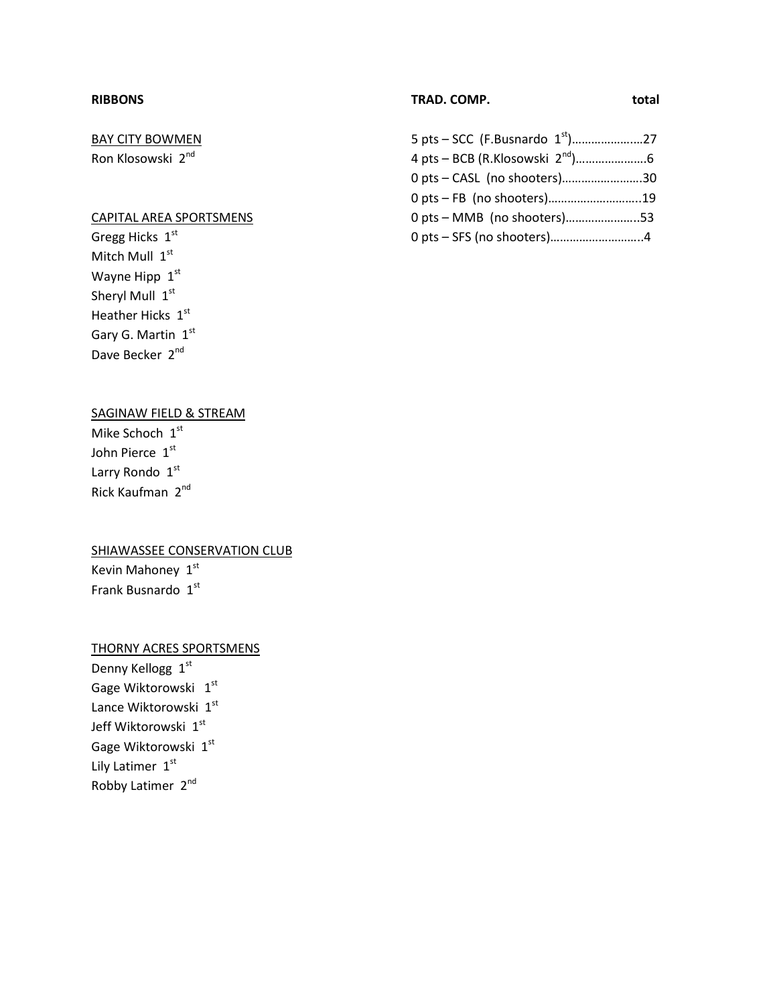## **RIBBONS**

# BAY CITY BOWMEN

Ron Klosowski 2nd

## CAPITAL AREA SPORTSMENS

Gregg Hicks  $1<sup>st</sup>$ Mitch Mull 1st Wayne Hipp  $1<sup>st</sup>$ Sheryl Mull 1st Heather Hicks 1st Gary G. Martin 1st Dave Becker 2<sup>nd</sup>

## **TRAD. COMP. total**

## 5 pts – SCC (F.Busnardo 1st)……………….…27 4 pts – BCB (R.Klosowski 2nd)………………….6 0 pts – CASL (no shooters)…………………….30 0 pts – FB (no shooters)………………………..19 0 pts – MMB (no shooters)…………………..53 0 pts – SFS (no shooters)………………………..4

## SAGINAW FIELD & STREAM

Mike Schoch 1st John Pierce 1st Larry Rondo 1st Rick Kaufman 2nd

## **SHIAWASSEE CONSERVATION CLUB**

Kevin Mahoney  $1^{st}$ Frank Busnardo 1st

## THORNY ACRES SPORTSMENS

Denny Kellogg 1st Gage Wiktorowski 1st Lance Wiktorowski 1st Jeff Wiktorowski 1st Gage Wiktorowski 1st Lily Latimer 1st Robby Latimer 2nd